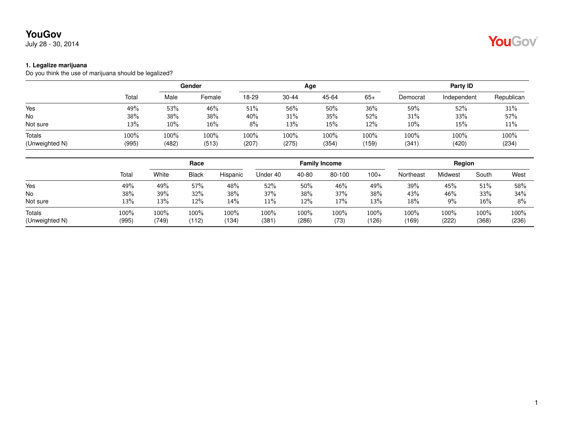July 28 - 30, 2014

#### **1. Legalize marijuana**

Do you think the use of marijuana should be legalized?

|                |       | Gender |        |       |           | Age   | Party ID |          |             |            |
|----------------|-------|--------|--------|-------|-----------|-------|----------|----------|-------------|------------|
|                | Total | Male   | Female | 18-29 | $30 - 44$ | 45-64 | $65+$    | Democrat | Independent | Republican |
| Yes            | 49%   | 53%    | 46%    | 51%   | 56%       | 50%   | 36%      | 59%      | 52%         | 31%        |
| <b>No</b>      | 38%   | 38%    | 38%    | 40%   | 31%       | 35%   | 52%      | 31%      | 33%         | 57%        |
| Not sure       | 13%   | $10\%$ | 16%    | 8%    | 13%       | 15%   | 12%      | $10\%$   | 15%         | 11%        |
| Totals         | 100%  | 100%   | 100%   | 100%  | 100%      | 100%  | 100%     | 100%     | 100%        | 100%       |
| (Unweighted N) | (995) | (482)  | (513)  | (207) | (275)     | (354) | (159)    | (341)    | (420)       | (234)      |

|                          |               |               | Race          |               |                  | <b>Family Income</b> |              |               |               | Region        |                  |               |
|--------------------------|---------------|---------------|---------------|---------------|------------------|----------------------|--------------|---------------|---------------|---------------|------------------|---------------|
|                          | Total         | White         | <b>Black</b>  | Hispanic      | Under 40         | 40-80                | 80-100       | $100+$        | Northeast     | Midwest       | South            | West          |
| Yes                      | 49%           | 49%           | 57%           | 48%           | 52%              | 50%                  | 46%          | 49%           | 39%           | 45%           | 51%              | 58%           |
| No                       | 38%           | 39%           | 32%           | 38%           | 37%              | 38%                  | 37%          | 38%           | 43%           | 46%           | 33%              | 34%           |
| Not sure                 | 13%           | 13%           | 12%           | 14%           | 11%              | 12%                  | 17%          | 13%           | 18%           | 9%            | 16%              | 8%            |
| Totals<br>(Unweighted N) | 100%<br>(995) | 100%<br>(749) | 100%<br>(112) | 100%<br>(134) | $100\%$<br>(381) | 100%<br>(286)        | 100%<br>(73) | 100%<br>(126) | 100%<br>(169) | 100%<br>(222) | $100\%$<br>(368) | 100%<br>(236) |

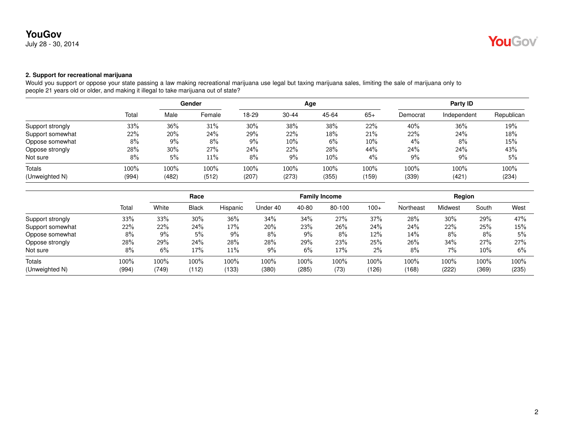July 28 - 30, 2014

## **YouGov**

### **2. Support for recreational marijuana**

Would you support or oppose your state passing a law making recreational marijuana use legal but taxing marijuana sales, limiting the sale of marijuana only to people 21 years old or older, and making it illegal to take marijuana out of state?

|                  |       | Gender |        |       |           | Age   |        | Party ID |             |            |  |
|------------------|-------|--------|--------|-------|-----------|-------|--------|----------|-------------|------------|--|
|                  | Total | Male   | Female | 18-29 | $30 - 44$ | 45-64 | $65+$  | Democrat | Independent | Republican |  |
| Support strongly | 33%   | 36%    | 31%    | 30%   | 38%       | 38%   | 22%    | 40%      | 36%         | 19%        |  |
| Support somewhat | 22%   | 20%    | 24%    | 29%   | 22%       | 18%   | 21%    | 22%      | 24%         | 18%        |  |
| Oppose somewhat  | 8%    | 9%     | 8%     | 9%    | 10%       | 6%    | $10\%$ | $4\%$    | 8%          | 15%        |  |
| Oppose strongly  | 28%   | 30%    | 27%    | 24%   | 22%       | 28%   | 44%    | 24%      | 24%         | 43%        |  |
| Not sure         | 8%    | 5%     | $11\%$ | 8%    | 9%        | 10%   | 4%     | $9\%$    | 9%          | 5%         |  |
| Totals           | 100%  | 100%   | 100%   | 100%  | 100%      | 100%  | 100%   | 100%     | 100%        | 100%       |  |
| (Unweighted N)   | (994) | (482)  | (512)  | (207) | (273)     | (355) | (159)  | (339)    | (421)       | (234)      |  |

|                  |       | Race  |              |          |          |       | <b>Family Income</b> |        |           | Region  |       |       |
|------------------|-------|-------|--------------|----------|----------|-------|----------------------|--------|-----------|---------|-------|-------|
|                  | Total | White | <b>Black</b> | Hispanic | Under 40 | 40-80 | 80-100               | $100+$ | Northeast | Midwest | South | West  |
| Support strongly | 33%   | 33%   | 30%          | 36%      | 34%      | 34%   | 27%                  | 37%    | 28%       | 30%     | 29%   | 47%   |
| Support somewhat | 22%   | 22%   | 24%          | 17%      | 20%      | 23%   | 26%                  | 24%    | 24%       | 22%     | 25%   | 15%   |
| Oppose somewhat  | 8%    | $9\%$ | 5%           | 9%       | 8%       | 9%    | 8%                   | 12%    | 14%       | 8%      | 8%    | 5%    |
| Oppose strongly  | 28%   | 29%   | 24%          | 28%      | 28%      | 29%   | 23%                  | 25%    | 26%       | 34%     | 27%   | 27%   |
| Not sure         | 8%    | 6%    | 17%          | 11%      | 9%       | 6%    | 17%                  | 2%     | 8%        | 7%      | 10%   | 6%    |
| <b>Totals</b>    | 100%  | 100%  | 100%         | 100%     | 100%     | 100%  | 100%                 | 100%   | 100%      | $100\%$ | 100%  | 100%  |
| (Unweighted N)   | (994) | (749) | (112)        | (133)    | (380)    | (285) | (73)                 | (126)  | (168)     | (222)   | (369) | (235) |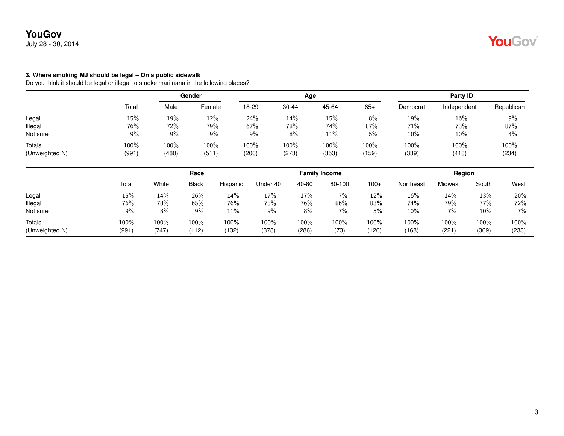July 28 - 30, 2014

#### **3. Where smoking MJ should be legal – On a public sidewalk**

Do you think it should be legal or illegal to smoke marijuana in the following places?

|                |       | Gender |        |       |           | Age   | Party ID |          |             |            |
|----------------|-------|--------|--------|-------|-----------|-------|----------|----------|-------------|------------|
|                | Total | Male   | Female | 18-29 | $30 - 44$ | 45-64 | $65+$    | Democrat | Independent | Republican |
| Legal          | 15%   | 19%    | 12%    | 24%   | 14%       | 15%   | 8%       | 19%      | 16%         | 9%         |
| Illegal        | 76%   | 72%    | 79%    | 67%   | 78%       | 74%   | 87%      | 71%      | 73%         | 87%        |
| Not sure       | 9%    | $9\%$  | 9%     | 9%    | 8%        | 11%   | 5%       | 10%      | 10%         | 4%         |
| Totals         | 100%  | 100%   | 100%   | 100%  | 100%      | 100%  | 100%     | 100%     | 100%        | 100%       |
| (Unweighted N) | (991) | (480)  | (511)  | (206) | (273)     | (353) | (159)    | (339)    | (418)       | (234)      |

|                          |               |               | Race          |               |               |               | <b>Family Income</b> |               |               | Region       |               |               |
|--------------------------|---------------|---------------|---------------|---------------|---------------|---------------|----------------------|---------------|---------------|--------------|---------------|---------------|
|                          | Total         | White         | <b>Black</b>  | Hispanic      | Under 40      | 40-80         | 80-100               | $100+$        | Northeast     | Midwest      | South         | West          |
| Legal                    | 15%           | 14%           | 26%           | 14%           | 17%           | 17%           | 7%                   | 12%           | 16%           | 14%          | 13%           | 20%           |
| Illegal                  | 76%           | 78%           | 65%           | 76%           | 75%           | 76%           | 86%                  | 83%           | 74%           | 79%          | 77%           | 72%           |
| Not sure                 | 9%            | 8%            | 9%            | 11%           | 9%            | 8%            | 7%                   | 5%            | 10%           | 7%           | 10%           | 7%            |
| Totals<br>(Unweighted N) | 100%<br>(991) | 100%<br>(747) | 100%<br>(112) | 100%<br>(132) | 100%<br>(378) | 100%<br>(286) | 100%<br>(73)         | 100%<br>(126) | 100%<br>(168) | 100%<br>(221 | 100%<br>(369) | 100%<br>(233) |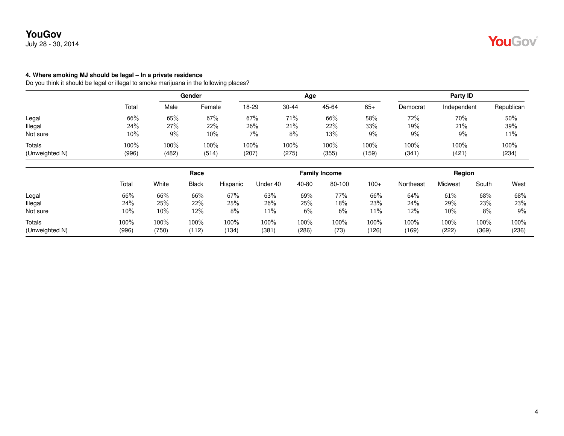July 28 - 30, 2014

#### **4. Where smoking MJ should be legal – In a private residence**

Do you think it should be legal or illegal to smoke marijuana in the following places?

|                |       | Gender |        |       |       | Age   | Party ID |          |             |            |
|----------------|-------|--------|--------|-------|-------|-------|----------|----------|-------------|------------|
|                | Total | Male   | Female | 18-29 | 30-44 | 45-64 | $65+$    | Democrat | Independent | Republican |
| Legal          | 66%   | 65%    | 67%    | 67%   | 71%   | 66%   | 58%      | 72%      | 70%         | 50%        |
| Illegal        | 24%   | 27%    | 22%    | 26%   | 21%   | 22%   | 33%      | 19%      | 21%         | 39%        |
| Not sure       | 10%   | $9\%$  | 10%    | $7\%$ | 8%    | 13%   | 9%       | 9%       | 9%          | 11%        |
| Totals         | 100%  | 100%   | 100%   | 100%  | 100%  | 100%  | $100\%$  | 100%     | 100%        | 100%       |
| (Unweighted N) | (996) | (482)  | (514)  | (207) | (275) | (355) | (159)    | (341)    | (421        | (234)      |

|                          |               |               | Race          |               |               |               | <b>Family Income</b> |               |               | Region        |               |               |
|--------------------------|---------------|---------------|---------------|---------------|---------------|---------------|----------------------|---------------|---------------|---------------|---------------|---------------|
|                          | Total         | White         | <b>Black</b>  | Hispanic      | Under 40      | 40-80         | 80-100               | $100+$        | Northeast     | Midwest       | South         | West          |
| Legal                    | 66%           | 66%           | 66%           | 67%           | 63%           | 69%           | 77%                  | 66%           | 64%           | 61%           | 68%           | 68%           |
| Illegal                  | 24%           | 25%           | $22\%$        | 25%           | 26%           | 25%           | 18%                  | 23%           | 24%           | 29%           | 23%           | 23%           |
| Not sure                 | 10%           | 10%           | 12%           | 8%            | 11%           | $6\%$         | 6%                   | 11%           | 12%           | 10%           | 8%            | $9\%$         |
| Totals<br>(Unweighted N) | 100%<br>(996) | 100%<br>(750) | 100%<br>(112) | 100%<br>(134) | 100%<br>(381) | 100%<br>(286) | 100%<br>(73)         | 100%<br>(126) | 100%<br>(169) | 100%<br>(222) | 100%<br>(369) | 100%<br>(236) |

YouGov®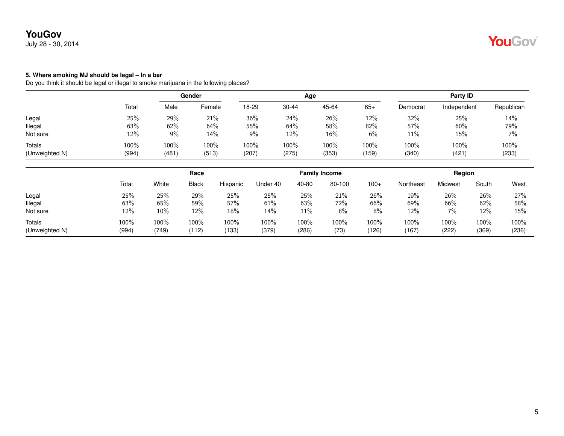July 28 - 30, 2014

# YouGov

#### **5. Where smoking MJ should be legal – In a bar**

Do you think it should be legal or illegal to smoke marijuana in the following places?

|                |       | Gender |        |       |           | Age   |       | Party ID |             |            |  |
|----------------|-------|--------|--------|-------|-----------|-------|-------|----------|-------------|------------|--|
|                | Total | Male   | Female | 18-29 | $30 - 44$ | 45-64 | $65+$ | Democrat | Independent | Republican |  |
| Legal          | 25%   | 29%    | 21%    | 36%   | 24%       | 26%   | 12%   | 32%      | 25%         | 14%        |  |
| llegal         | 63%   | 62%    | 64%    | 55%   | 64%       | 58%   | 82%   | 57%      | 60%         | 79%        |  |
| Not sure       | 12%   | 9%     | 14%    | 9%    | 12%       | 16%   | 6%    | 11%      | 15%         | 7%         |  |
| Totals         | 100%  | 100%   | 100%   | 100%  | 100%      | 100%  | 100%  | 100%     | 100%        | 100%       |  |
| (Unweighted N) | (994) | (481   | (513)  | (207) | (275)     | (353) | (159) | (340)    | (421)       | (233)      |  |

|                                 |               |               | Race          |               |               |               | <b>Family Income</b> |               |               | Region        |               |               |
|---------------------------------|---------------|---------------|---------------|---------------|---------------|---------------|----------------------|---------------|---------------|---------------|---------------|---------------|
|                                 | Total         | White         | <b>Black</b>  | Hispanic      | Under 40      | 40-80         | 80-100               | $100+$        | Northeast     | Midwest       | South         | West          |
| Legal                           | 25%           | 25%           | 29%           | 25%           | 25%           | 25%           | 21%                  | 26%           | 19%           | 26%           | 26%           | 27%           |
| lllegal                         | 63%           | 65%           | 59%           | 57%           | 61%           | 63%           | 72%                  | 66%           | 69%           | 66%           | 62%           | 58%           |
| Not sure                        | 12%           | 10%           | 12%           | 18%           | 14%           | 11%           | 8%                   | 8%            | 12%           | 7%            | 12%           | 15%           |
| <b>Totals</b><br>(Unweighted N) | 100%<br>(994) | 100%<br>(749) | 100%<br>(112) | 100%<br>(133) | 100%<br>(379) | 100%<br>(286) | 100%<br>(73)         | 100%<br>(126) | 100%<br>(167) | 100%<br>(222) | 100%<br>(369) | 100%<br>(236) |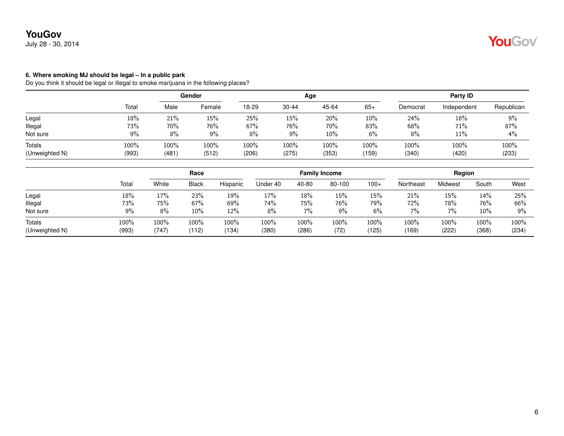July 28 - 30, 2014

#### **6. Where smoking MJ should be legal – In a public park**

Do you think it should be legal or illegal to smoke marijuana in the following places?

|                |       | Gender  |        |       |           | Age   |         | Party ID |             |            |  |
|----------------|-------|---------|--------|-------|-----------|-------|---------|----------|-------------|------------|--|
|                | Total | Male    | Female | 18-29 | $30 - 44$ | 45-64 | $65+$   | Democrat | Independent | Republican |  |
| Legal          | 18%   | 21%     | 15%    | 25%   | 15%       | 20%   | 10%     | 24%      | 18%         | 9%         |  |
| Illegal        | 73%   | 70%     | 76%    | 67%   | 76%       | 70%   | 83%     | 68%      | 71%         | 87%        |  |
| Not sure       | 9%    | 8%      | 9%     | 8%    | $9\%$     | 10%   | 6%      | 8%       | 11%         | 4%         |  |
| Totals         | 100%  | $100\%$ | 100%   | 100%  | $100\%$   | 100%  | $100\%$ | 100%     | 100%        | 100%       |  |
| (Unweighted N) | (993) | (481)   | (512)  | (206) | (275)     | (353) | (159)   | (340)    | (420)       | (233)      |  |

|                          |               | Race          |               |               |               |               | <b>Family Income</b> |               |               | Region        |               |               |
|--------------------------|---------------|---------------|---------------|---------------|---------------|---------------|----------------------|---------------|---------------|---------------|---------------|---------------|
|                          | Total         | White         | <b>Black</b>  | Hispanic      | Under 40      | 40-80         | 80-100               | $100+$        | Northeast     | Midwest       | South         | West          |
| Legal                    | 18%           | 17%           | 23%           | 19%           | 17%           | 18%           | 15%                  | 15%           | 21%           | 15%           | 14%           | 25%           |
| Illegal                  | 73%           | 75%           | 67%           | 69%           | 74%           | 75%           | 76%                  | 79%           | 72%           | 78%           | 76%           | 66%           |
| Not sure                 | 9%            | 8%            | 10%           | 12%           | 8%            | 7%            | $9\%$                | 6%            | 7%            | 7%            | 10%           | 9%            |
| Totals<br>(Unweighted N) | 100%<br>(993) | 100%<br>(747) | 100%<br>(112) | 100%<br>(134) | 100%<br>(380) | 100%<br>(286) | 100%<br>(72)         | 100%<br>(125) | 100%<br>(169) | 100%<br>(222) | 100%<br>(368) | 100%<br>(234) |